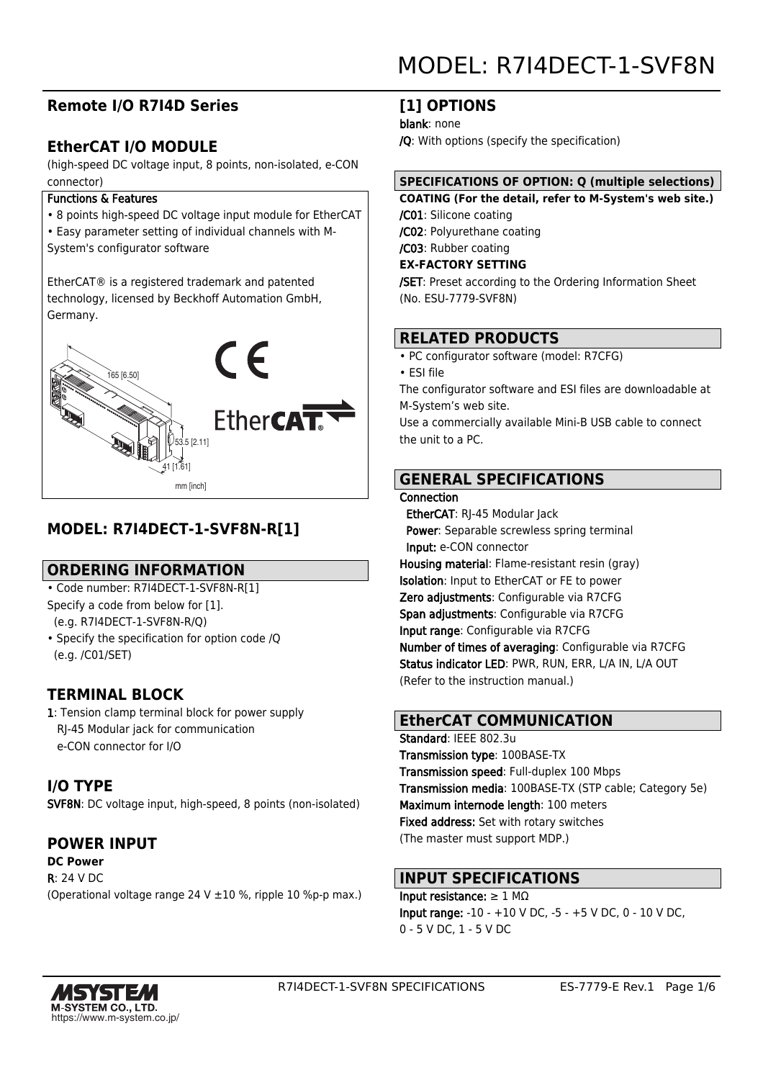## **Remote I/O R7I4D Series**

## **EtherCAT I/O MODULE**

(high-speed DC voltage input, 8 points, non-isolated, e-CON connector)

#### Functions & Features

- 8 points high-speed DC voltage input module for EtherCAT
- Easy parameter setting of individual channels with M-

System's configurator software

EtherCAT® is a registered trademark and patented technology, licensed by Beckhoff Automation GmbH, Germany.



## **MODEL: R7I4DECT-1-SVF8N-R[1]**

## **ORDERING INFORMATION**

- Code number: R7I4DECT-1-SVF8N-R[1] Specify a code from below for [1].
- (e.g. R7I4DECT-1-SVF8N-R/Q)
- Specify the specification for option code /Q (e.g. /C01/SET)

## **TERMINAL BLOCK**

1: Tension clamp terminal block for power supply RJ-45 Modular jack for communication e-CON connector for I/O

## **I/O TYPE**

SVF8N: DC voltage input, high-speed, 8 points (non-isolated)

## **POWER INPUT**

#### **DC Power**

R: 24 V DC

(Operational voltage range 24 V ±10 %, ripple 10 %p-p max.)

## **[1] OPTIONS**

blank: none

/Q: With options (specify the specification)

## **SPECIFICATIONS OF OPTION: Q (multiple selections)**

**COATING (For the detail, refer to M-System's web site.)** /C01: Silicone coating /C02: Polyurethane coating

/C03: Rubber coating **EX-FACTORY SETTING**

/SET: Preset according to the Ordering Information Sheet (No. ESU-7779-SVF8N)

## **RELATED PRODUCTS**

• PC configurator software (model: R7CFG)

• ESI file

The configurator software and ESI files are downloadable at M-System's web site.

Use a commercially available Mini-B USB cable to connect the unit to a PC.

## **GENERAL SPECIFICATIONS**

#### **Connection**

 EtherCAT: RJ-45 Modular Jack Power: Separable screwless spring terminal Input: e-CON connector Housing material: Flame-resistant resin (gray) Isolation: Input to EtherCAT or FE to power Zero adjustments: Configurable via R7CFG Span adjustments: Configurable via R7CFG Input range: Configurable via R7CFG Number of times of averaging: Configurable via R7CFG Status indicator LED: PWR, RUN, ERR, L/A IN, L/A OUT (Refer to the instruction manual.)

## **EtherCAT COMMUNICATION**

Standard: IEEE 802.3u Transmission type: 100BASE-TX Transmission speed: Full-duplex 100 Mbps Transmission media: 100BASE-TX (STP cable; Category 5e) Maximum internode length: 100 meters Fixed address: Set with rotary switches (The master must support MDP.)

## **INPUT SPECIFICATIONS**

Input resistance:  $\geq 1$  MΩ Input range: -10 - +10 V DC, -5 - +5 V DC, 0 - 10 V DC, 0 - 5 V DC, 1 - 5 V DC

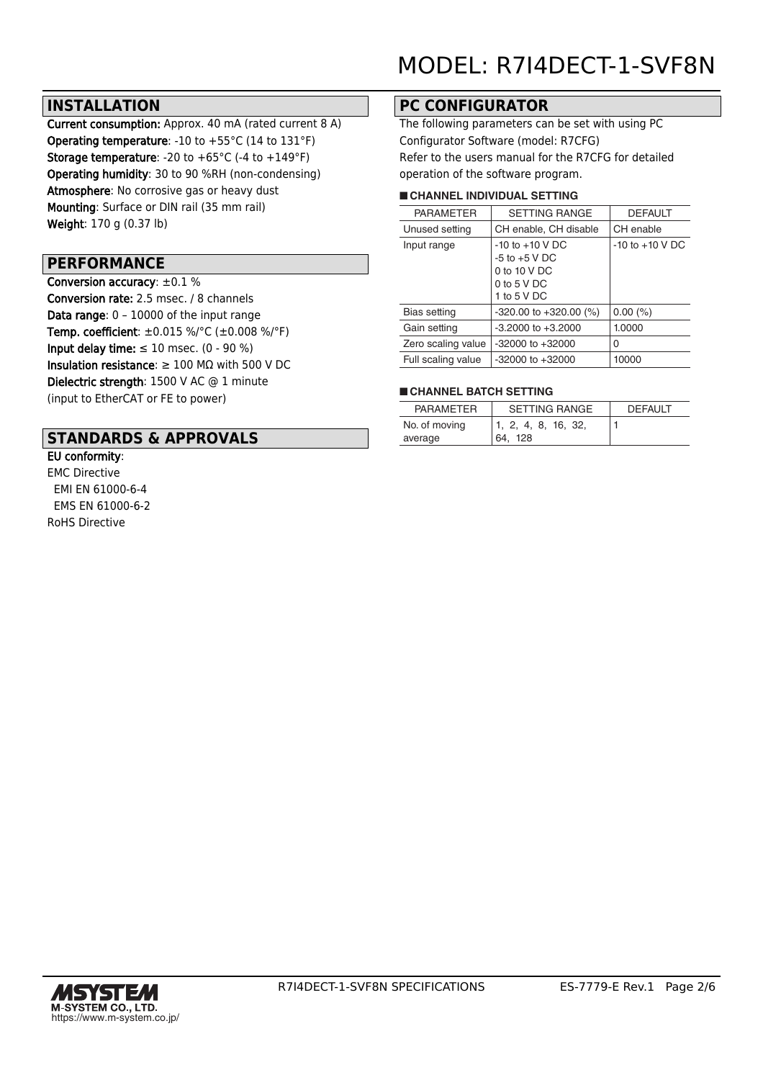## **INSTALLATION**

Current consumption: Approx. 40 mA (rated current 8 A) **Operating temperature:** -10 to  $+55^{\circ}$ C (14 to 131 $^{\circ}$ F) **Storage temperature:** -20 to  $+65^{\circ}$ C (-4 to  $+149^{\circ}$ F) Operating humidity: 30 to 90 %RH (non-condensing) Atmosphere: No corrosive gas or heavy dust Mounting: Surface or DIN rail (35 mm rail) Weight: 170 g (0.37 lb)

## **PERFORMANCE**

Conversion accuracy: ±0.1 % Conversion rate: 2.5 msec. / 8 channels Data range: 0 – 10000 of the input range Temp. coefficient: ±0.015 %/°C (±0.008 %/°F) Input delay time:  $\leq 10$  msec. (0 - 90 %) Insulation resistance:  $\geq 100$  M $\Omega$  with 500 V DC Dielectric strength: 1500 V AC @ 1 minute (input to EtherCAT or FE to power)

## **STANDARDS & APPROVALS**

#### EU conformity:

EMC Directive EMI EN 61000-6-4 EMS EN 61000-6-2 RoHS Directive

## **PC CONFIGURATOR**

The following parameters can be set with using PC Configurator Software (model: R7CFG) Refer to the users manual for the R7CFG for detailed operation of the software program.

#### ■ **CHANNEL INDIVIDUAL SETTING**

|                    | <b>PARAMETER</b>   | <b>SETTING RANGE</b>                     | <b>DEFAULT</b>      |  |
|--------------------|--------------------|------------------------------------------|---------------------|--|
| Unused setting     |                    | CH enable, CH disable                    | CH enable           |  |
| Input range        |                    | $-10$ to $+10$ V DC<br>$-5$ to $+5$ V DC | $-10$ to $+10$ V DC |  |
|                    |                    | 0 to 10 V DC                             |                     |  |
|                    |                    | 0 to $5$ V DC                            |                     |  |
|                    |                    | 1 to 5 V DC                              |                     |  |
|                    | Bias setting       | $-320.00$ to $+320.00$ (%)               | $0.00\ (%)$         |  |
|                    | Gain setting       | $-3.2000$ to $+3.2000$                   | 1.0000              |  |
|                    | Zero scaling value | $-32000$ to $+32000$                     | 0                   |  |
| Full scaling value |                    | $-32000$ to $+32000$                     | 10000               |  |
|                    |                    |                                          |                     |  |

#### ■ **CHANNEL BATCH SETTING**

| <b>PARAMETER</b> | <b>SETTING RANGE</b> | <b>DEFAULT</b> |
|------------------|----------------------|----------------|
| No. of moving    | 1, 2, 4, 8, 16, 32,  |                |
| average          | 64. 128              |                |

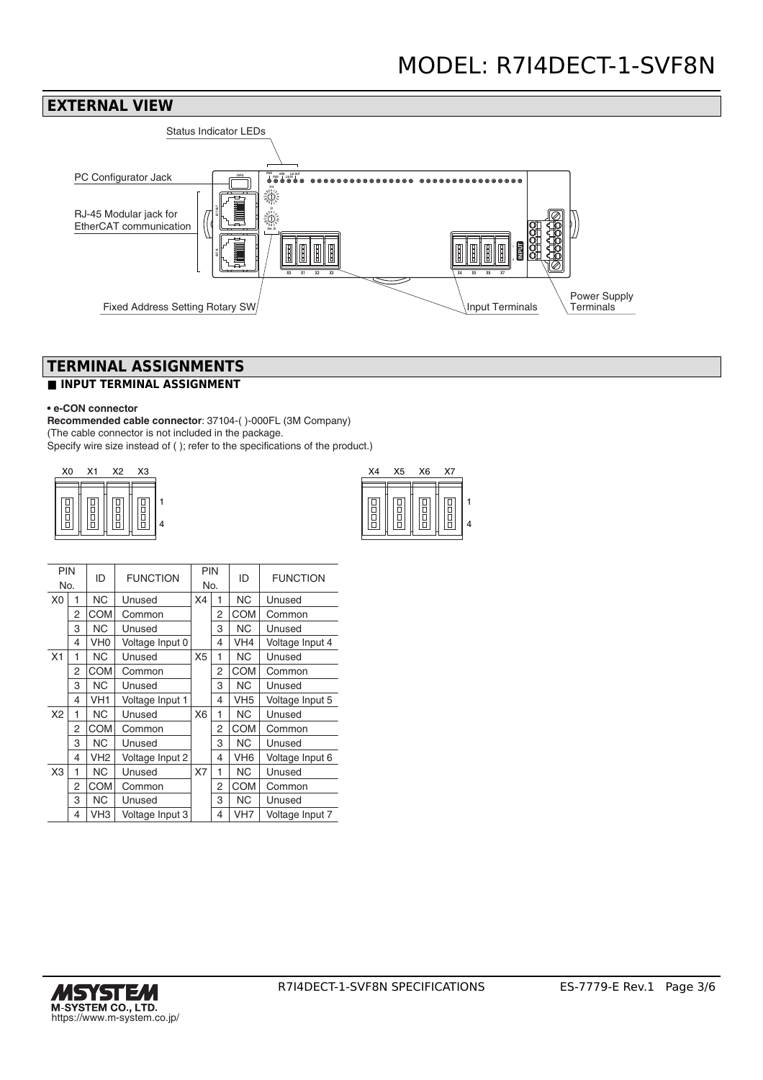

## **TERMINAL ASSIGNMENTS**

## **■ INPUT TERMINAL ASSIGNMENT**

#### **• e-CON connector**

**Recommended cable connector**: 37104-( )-000FL (3M Company) (The cable connector is not included in the package. Specify wire size instead of ( ); refer to the specifications of the product.)

| X <sub>0</sub> | X1 | X2     | <b>X3</b> | X4 | X5 | X6 | X7 |
|----------------|----|--------|-----------|----|----|----|----|
| $\parallel$    | ŏ  | o<br>D |           |    |    | 븜  | 日日 |

| X4 | X <sub>5</sub> | X <sub>6</sub> | X7 |  |
|----|----------------|----------------|----|--|
|    |                |                |    |  |

| <b>PIN</b>     |   | ID              | <b>FUNCTION</b> | <b>PIN</b>     |                | ID<br>No.       | <b>FUNCTION</b> |
|----------------|---|-----------------|-----------------|----------------|----------------|-----------------|-----------------|
| No.            |   |                 |                 |                |                |                 |                 |
| X <sub>0</sub> | 1 | <b>NC</b>       | Unused          | X4             | 1              | <b>NC</b>       | Unused          |
|                | 2 | <b>COM</b>      | Common          |                | 2              | <b>COM</b>      | Common          |
|                | 3 | <b>NC</b>       | Unused          |                | 3              | <b>NC</b>       | Unused          |
|                | 4 | VH <sub>0</sub> | Voltage Input 0 |                | 4              | VH <sub>4</sub> | Voltage Input 4 |
| X1             | 1 | <b>NC</b>       | Unused          | X <sub>5</sub> | 1              | <b>NC</b>       | Unused          |
|                | 2 | <b>COM</b>      | Common          |                | 2              | <b>COM</b>      | Common          |
|                | 3 | <b>NC</b>       | Unused          |                | 3              | <b>NC</b>       | Unused          |
|                | 4 | VH <sub>1</sub> | Voltage Input 1 |                | 4              | VH <sub>5</sub> | Voltage Input 5 |
| X2             | 1 | <b>NC</b>       | Unused          | X <sub>6</sub> | 1              | <b>NC</b>       | Unused          |
|                | 2 | <b>COM</b>      | Common          |                | $\overline{2}$ | <b>COM</b>      | Common          |
|                | 3 | <b>NC</b>       | Unused          |                | 3              | <b>NC</b>       | Unused          |
|                | 4 | VH <sub>2</sub> | Voltage Input 2 |                | 4              | VH <sub>6</sub> | Voltage Input 6 |
| X <sub>3</sub> | 1 | <b>NC</b>       | Unused          | X7             | 1              | <b>NC</b>       | Unused          |
|                | 2 | <b>COM</b>      | Common          |                | 2              | <b>COM</b>      | Common          |
|                | 3 | <b>NC</b>       | Unused          |                | 3              | <b>NC</b>       | Unused          |
|                | 4 | VH3             | Voltage Input 3 |                | 4              | VH <sub>7</sub> | Voltage Input 7 |

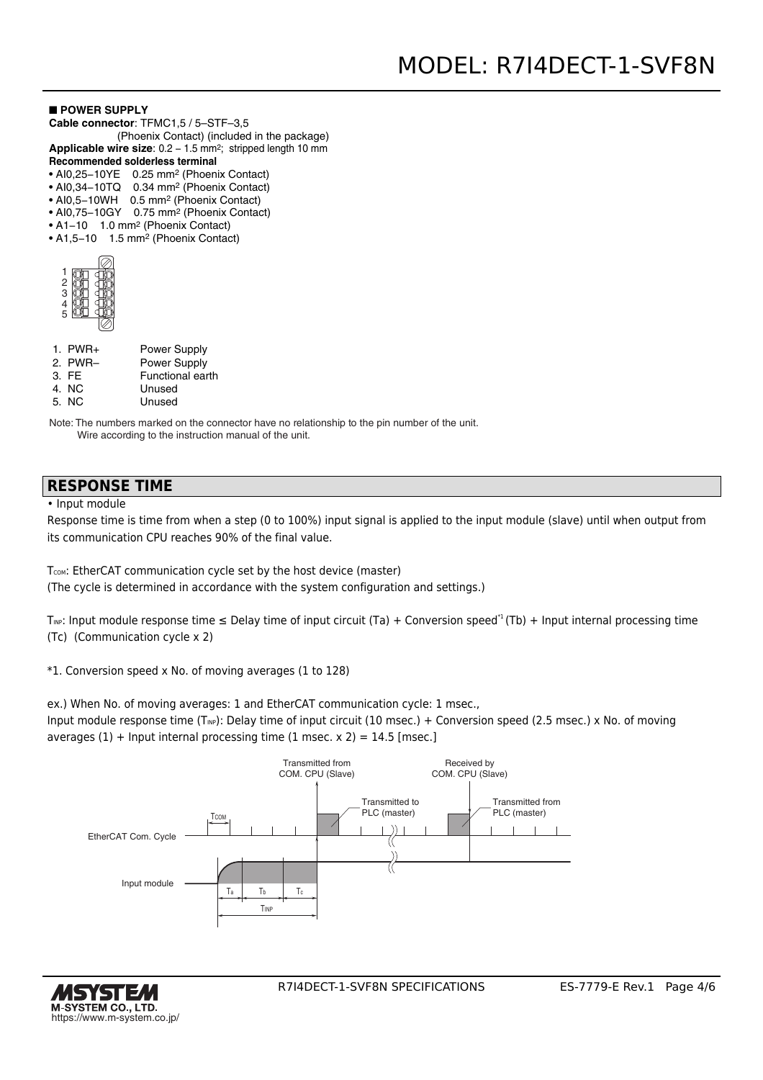#### ■ **POWER SUPPLY**

- **Cable connector**: TFMC1,5 / 5–STF–3,5
- (Phoenix Contact) (included in the package) Applicable wire size: 0.2 - 1.5 mm<sup>2</sup>; stripped length 10 mm
- **Recommended solderless terminal**
- AI0,25−10YE 0.25 mm2 (Phoenix Contact)
- AI0,34−10TQ 0.34 mm2 (Phoenix Contact)
- AI0,5−10WH 0.5 mm2 (Phoenix Contact)
- AI0,75−10GY 0.75 mm2 (Phoenix Contact)
- A1−10 1.0 mm2 (Phoenix Contact)
- A1,5−10 1.5 mm2 (Phoenix Contact)

| $\frac{2}{\pi}$ |  |
|-----------------|--|
| 3               |  |
| J.              |  |
| F               |  |
|                 |  |

- 1. PWR+ 2. PWR– 3. FE Power Supply Power Supply Functional earth
- 4. NC Unused
- 5. NC Unused

Note: The numbers marked on the connector have no relationship to the pin number of the unit. Wire according to the instruction manual of the unit.

## **RESPONSE TIME**

• Input module

Response time is time from when a step (0 to 100%) input signal is applied to the input module (slave) until when output from its communication CPU reaches 90% of the final value.

T<sub>COM</sub>: EtherCAT communication cycle set by the host device (master) (The cycle is determined in accordance with the system configuration and settings.)

T<sub>INP</sub>: Input module response time  $\leq$  Delay time of input circuit (Ta) + Conversion speed<sup>\*1</sup> (Tb) + Input internal processing time (Tc) (Communication cycle x 2)

\*1. Conversion speed x No. of moving averages (1 to 128)

ex.) When No. of moving averages: 1 and EtherCAT communication cycle: 1 msec.,

Input module response time (T<sub>NP</sub>): Delay time of input circuit (10 msec.) + Conversion speed (2.5 msec.) x No. of moving averages  $(1)$  + Input internal processing time  $(1 \text{ msec. x } 2) = 14.5 \text{ [msec.]}$ 



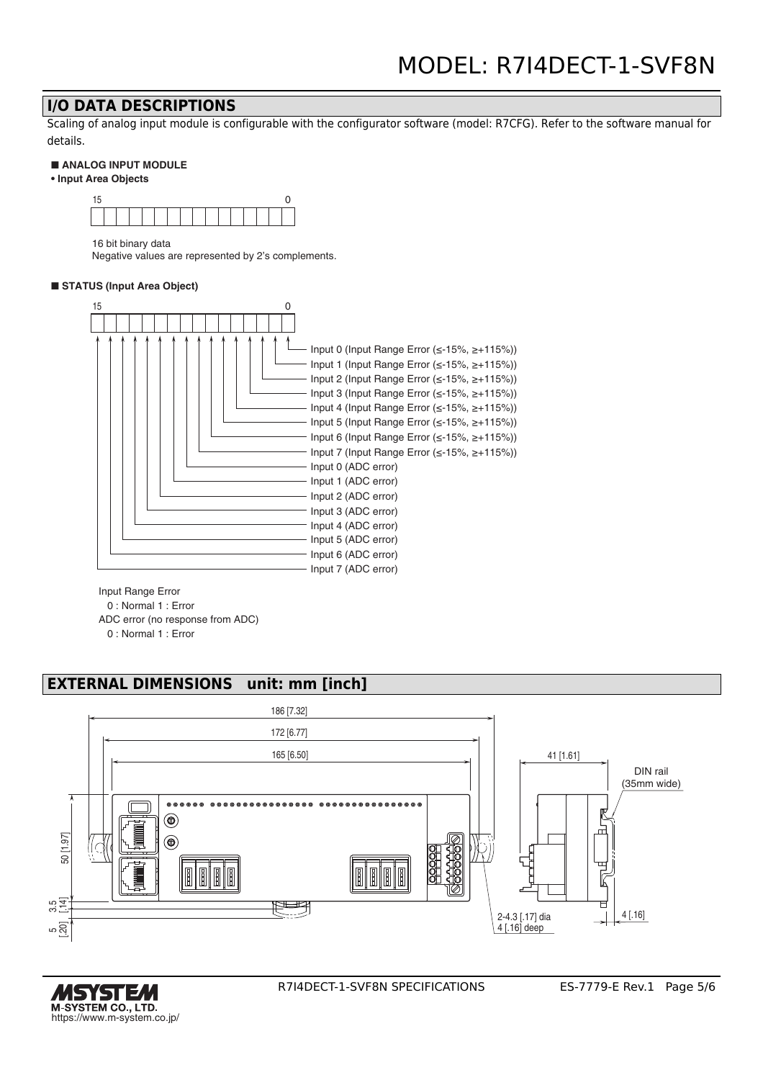## **I/O DATA DESCRIPTIONS**

Scaling of analog input module is configurable with the configurator software (model: R7CFG). Refer to the software manual for details.

#### ■ **ANALOG INPUT MODULE**

**• Input Area Objects**



16 bit binary data

Negative values are represented by 2's complements.

#### ■ **STATUS** (Input Area Object)



Input Range Error

0 : Normal 1 : Error

ADC error (no response from ADC)

0 : Normal 1 : Error

## **EXTERNAL DIMENSIONS unit: mm [inch]**